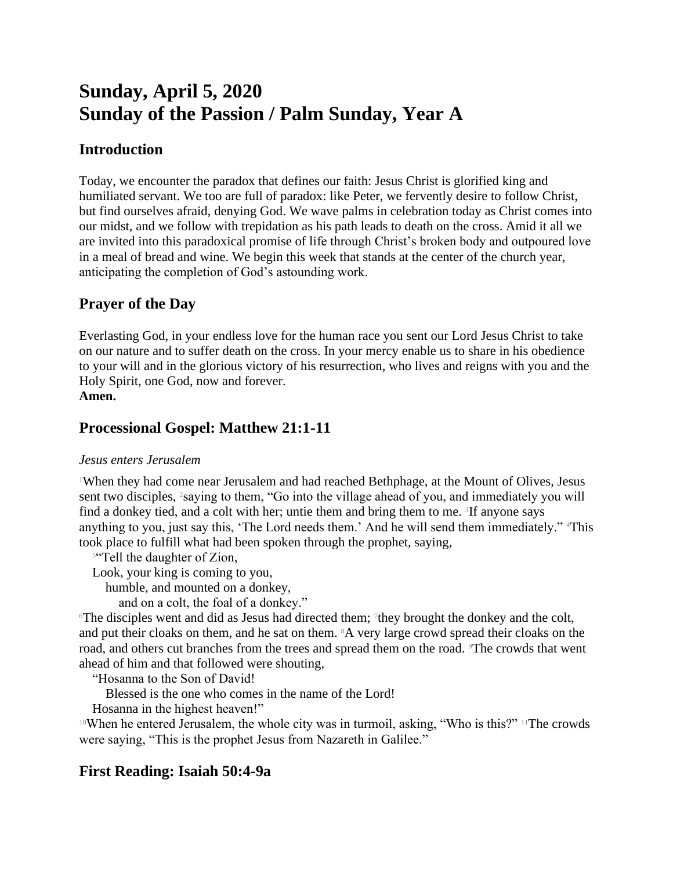# **Sunday, April 5, 2020 Sunday of the Passion / Palm Sunday, Year A**

## **Introduction**

Today, we encounter the paradox that defines our faith: Jesus Christ is glorified king and humiliated servant. We too are full of paradox: like Peter, we fervently desire to follow Christ, but find ourselves afraid, denying God. We wave palms in celebration today as Christ comes into our midst, and we follow with trepidation as his path leads to death on the cross. Amid it all we are invited into this paradoxical promise of life through Christ's broken body and outpoured love in a meal of bread and wine. We begin this week that stands at the center of the church year, anticipating the completion of God's astounding work.

# **Prayer of the Day**

Everlasting God, in your endless love for the human race you sent our Lord Jesus Christ to take on our nature and to suffer death on the cross. In your mercy enable us to share in his obedience to your will and in the glorious victory of his resurrection, who lives and reigns with you and the Holy Spirit, one God, now and forever.

#### **Amen.**

## **Processional Gospel: Matthew 21:1-11**

## *Jesus enters Jerusalem*

<sup>1</sup>When they had come near Jerusalem and had reached Bethphage, at the Mount of Olives, Jesus sent two disciples, <sup>2</sup>saying to them, "Go into the village ahead of you, and immediately you will find a donkey tied, and a colt with her; untie them and bring them to me. <sup>3</sup>If anyone says anything to you, just say this, 'The Lord needs them.' And he will send them immediately." 4This took place to fulfill what had been spoken through the prophet, saying,

<sup>5"</sup>Tell the daughter of Zion,

Look, your king is coming to you,

humble, and mounted on a donkey,

and on a colt, the foal of a donkey."

The disciples went and did as Jesus had directed them; <sup>7</sup>they brought the donkey and the colt, and put their cloaks on them, and he sat on them. 8A very large crowd spread their cloaks on the road, and others cut branches from the trees and spread them on the road. The crowds that went ahead of him and that followed were shouting,

"Hosanna to the Son of David!

Blessed is the one who comes in the name of the Lord!

Hosanna in the highest heaven!"

<sup>10</sup>When he entered Jerusalem, the whole city was in turmoil, asking, "Who is this?" 11The crowds were saying, "This is the prophet Jesus from Nazareth in Galilee."

# **First Reading: Isaiah 50:4-9a**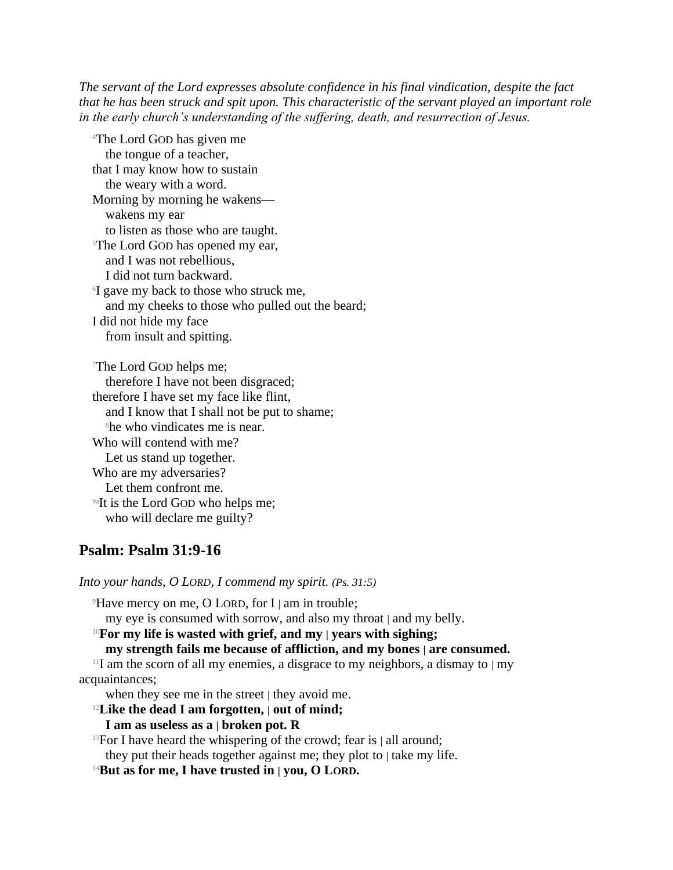*The servant of the Lord expresses absolute confidence in his final vindication, despite the fact that he has been struck and spit upon. This characteristic of the servant played an important role in the early church's understanding of the suffering, death, and resurrection of Jesus.*

<sup>4</sup>The Lord GOD has given me the tongue of a teacher, that I may know how to sustain the weary with a word. Morning by morning he wakens wakens my ear to listen as those who are taught. <sup>5</sup>The Lord GOD has opened my ear, and I was not rebellious, I did not turn backward. 6 I gave my back to those who struck me, and my cheeks to those who pulled out the beard; I did not hide my face from insult and spitting.

<sup>7</sup>The Lord GOD helps me; therefore I have not been disgraced; therefore I have set my face like flint, and I know that I shall not be put to shame; <sup>8</sup>he who vindicates me is near. Who will contend with me? Let us stand up together. Who are my adversaries? Let them confront me. <sup>9a</sup>It is the Lord GOD who helps me; who will declare me guilty?

## **Psalm: Psalm 31:9-16**

*Into your hands, O LORD, I commend my spirit. (Ps. 31:5)*

 $9$ Have mercy on me, O LORD, for I | am in trouble;

my eye is consumed with sorrow, and also my throat | and my belly.

#### <sup>10</sup>**For my life is wasted with grief, and my | years with sighing;**

**my strength fails me because of affliction, and my bones | are consumed.**

<sup>11</sup>I am the scorn of all my enemies, a disgrace to my neighbors, a dismay to  $\vert$  my acquaintances;

when they see me in the street | they avoid me.

#### <sup>12</sup>**Like the dead I am forgotten, | out of mind;**

#### **I am as useless as a | broken pot. R**

<sup>13</sup>For I have heard the whispering of the crowd; fear is  $|$  all around;

they put their heads together against me; they plot to | take my life.

<sup>14</sup>**But as for me, I have trusted in | you, O LORD.**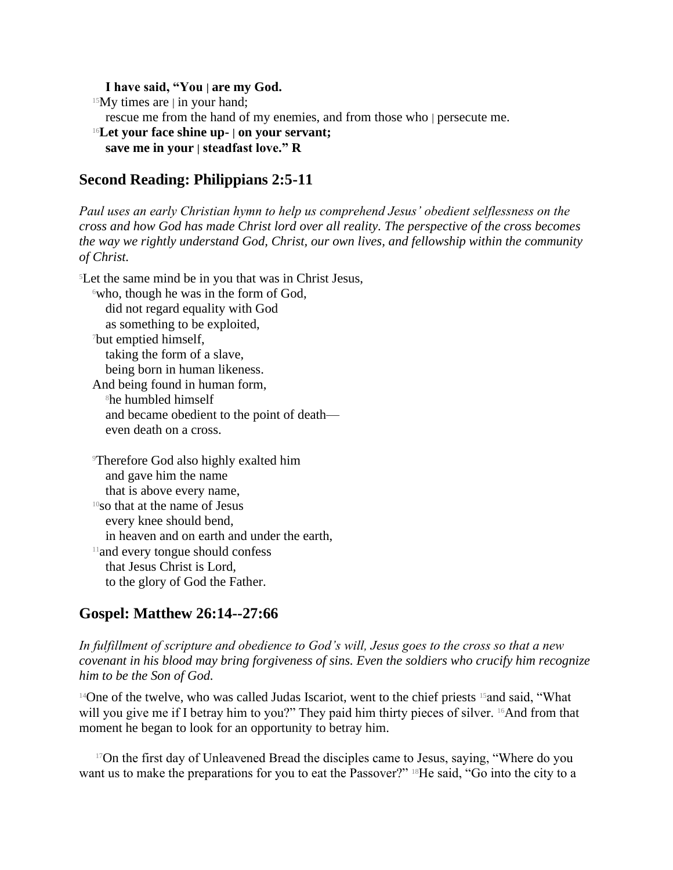#### **I have said, "You | are my God.**

 $15$ My times are | in your hand;

rescue me from the hand of my enemies, and from those who | persecute me.

<sup>16</sup>**Let your face shine up- | on your servant; save me in your | steadfast love." R**

#### **Second Reading: Philippians 2:5-11**

*Paul uses an early Christian hymn to help us comprehend Jesus' obedient selflessness on the cross and how God has made Christ lord over all reality. The perspective of the cross becomes the way we rightly understand God, Christ, our own lives, and fellowship within the community of Christ.*

<sup>5</sup>Let the same mind be in you that was in Christ Jesus,  $\delta$ who, though he was in the form of God, did not regard equality with God as something to be exploited, <sup>7</sup>but emptied himself, taking the form of a slave, being born in human likeness. And being found in human form, <sup>8</sup>he humbled himself and became obedient to the point of death even death on a cross.

<sup>9</sup>Therefore God also highly exalted him and gave him the name that is above every name, <sup>10</sup>so that at the name of Jesus every knee should bend, in heaven and on earth and under the earth, <sup>11</sup>and every tongue should confess that Jesus Christ is Lord, to the glory of God the Father.

## **Gospel: Matthew 26:14--27:66**

*In fulfillment of scripture and obedience to God's will, Jesus goes to the cross so that a new covenant in his blood may bring forgiveness of sins. Even the soldiers who crucify him recognize him to be the Son of God.*

<sup>14</sup>One of the twelve, who was called Judas Iscariot, went to the chief priests <sup>15</sup> and said, "What will you give me if I betray him to you?" They paid him thirty pieces of silver. <sup>16</sup>And from that moment he began to look for an opportunity to betray him.

<sup>17</sup>On the first day of Unleavened Bread the disciples came to Jesus, saying, "Where do you want us to make the preparations for you to eat the Passover?" 18He said, "Go into the city to a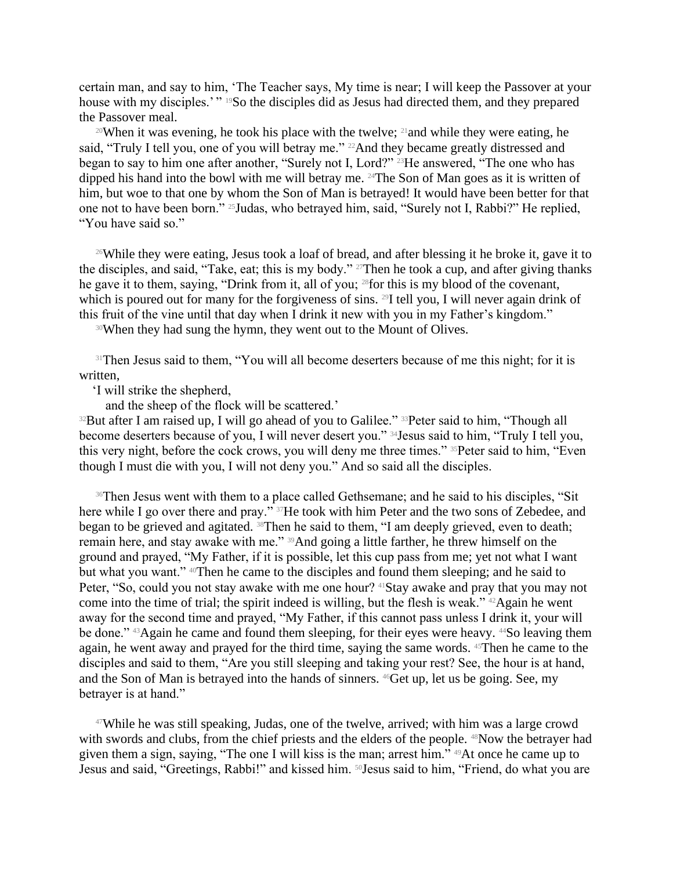certain man, and say to him, 'The Teacher says, My time is near; I will keep the Passover at your house with my disciples.'" <sup>19</sup>So the disciples did as Jesus had directed them, and they prepared the Passover meal.

<sup>20</sup>When it was evening, he took his place with the twelve; <sup>21</sup> and while they were eating, he said, "Truly I tell you, one of you will betray me." <sup>22</sup>And they became greatly distressed and began to say to him one after another, "Surely not I, Lord?" 23He answered, "The one who has dipped his hand into the bowl with me will betray me. 24The Son of Man goes as it is written of him, but woe to that one by whom the Son of Man is betrayed! It would have been better for that one not to have been born." 25Judas, who betrayed him, said, "Surely not I, Rabbi?" He replied, "You have said so."

<sup>26</sup>While they were eating, Jesus took a loaf of bread, and after blessing it he broke it, gave it to the disciples, and said, "Take, eat; this is my body." 27Then he took a cup, and after giving thanks he gave it to them, saying, "Drink from it, all of you; 28for this is my blood of the covenant, which is poured out for many for the forgiveness of sins. <sup>29</sup>I tell you, I will never again drink of this fruit of the vine until that day when I drink it new with you in my Father's kingdom."

<sup>30</sup>When they had sung the hymn, they went out to the Mount of Olives.

<sup>31</sup>Then Jesus said to them, "You will all become deserters because of me this night; for it is written,

'I will strike the shepherd,

and the sheep of the flock will be scattered.'

<sup>32</sup>But after I am raised up, I will go ahead of you to Galilee." <sup>33</sup>Peter said to him, "Though all become deserters because of you, I will never desert you." 34Jesus said to him, "Truly I tell you, this very night, before the cock crows, you will deny me three times." 35Peter said to him, "Even though I must die with you, I will not deny you." And so said all the disciples.

<sup>36</sup>Then Jesus went with them to a place called Gethsemane; and he said to his disciples, "Sit here while I go over there and pray." <sup>37</sup>He took with him Peter and the two sons of Zebedee, and began to be grieved and agitated. <sup>38</sup>Then he said to them, "I am deeply grieved, even to death; remain here, and stay awake with me." 39And going a little farther, he threw himself on the ground and prayed, "My Father, if it is possible, let this cup pass from me; yet not what I want but what you want." <sup>40</sup>Then he came to the disciples and found them sleeping; and he said to Peter, "So, could you not stay awake with me one hour? <sup>41</sup>Stay awake and pray that you may not come into the time of trial; the spirit indeed is willing, but the flesh is weak." 42Again he went away for the second time and prayed, "My Father, if this cannot pass unless I drink it, your will be done." <sup>43</sup>Again he came and found them sleeping, for their eyes were heavy. <sup>44</sup>So leaving them again, he went away and prayed for the third time, saying the same words. 45Then he came to the disciples and said to them, "Are you still sleeping and taking your rest? See, the hour is at hand, and the Son of Man is betrayed into the hands of sinners. 46Get up, let us be going. See, my betrayer is at hand."

<sup>47</sup>While he was still speaking, Judas, one of the twelve, arrived; with him was a large crowd with swords and clubs, from the chief priests and the elders of the people. <sup>48</sup>Now the betrayer had given them a sign, saying, "The one I will kiss is the man; arrest him." 49At once he came up to Jesus and said, "Greetings, Rabbi!" and kissed him. <sup>50</sup>Jesus said to him, "Friend, do what you are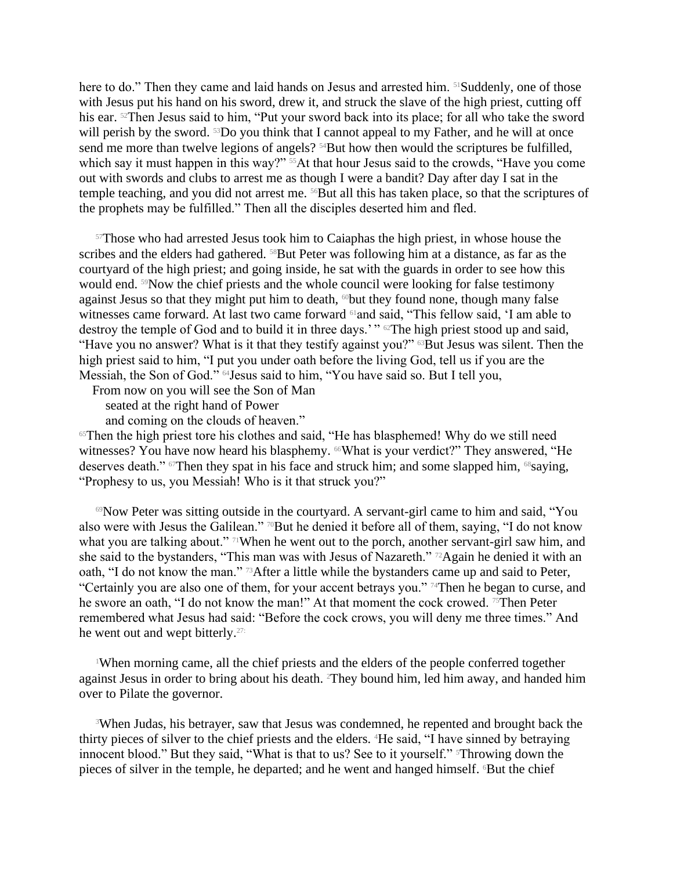here to do." Then they came and laid hands on Jesus and arrested him. <sup>51</sup>Suddenly, one of those with Jesus put his hand on his sword, drew it, and struck the slave of the high priest, cutting off his ear. <sup>52</sup>Then Jesus said to him, "Put your sword back into its place; for all who take the sword will perish by the sword. <sup>53</sup>Do you think that I cannot appeal to my Father, and he will at once send me more than twelve legions of angels? <sup>54</sup>But how then would the scriptures be fulfilled, which say it must happen in this way?" <sup>55</sup>At that hour Jesus said to the crowds, "Have you come out with swords and clubs to arrest me as though I were a bandit? Day after day I sat in the temple teaching, and you did not arrest me. 56But all this has taken place, so that the scriptures of the prophets may be fulfilled." Then all the disciples deserted him and fled.

<sup>57</sup>Those who had arrested Jesus took him to Caiaphas the high priest, in whose house the scribes and the elders had gathered. <sup>58</sup>But Peter was following him at a distance, as far as the courtyard of the high priest; and going inside, he sat with the guards in order to see how this would end. 59Now the chief priests and the whole council were looking for false testimony against Jesus so that they might put him to death,  $\omega$ but they found none, though many false witnesses came forward. At last two came forward <sup>61</sup>and said, "This fellow said, 'I am able to destroy the temple of God and to build it in three days.'" <sup>62</sup>The high priest stood up and said, "Have you no answer? What is it that they testify against you?" <sup>63</sup>But Jesus was silent. Then the high priest said to him, "I put you under oath before the living God, tell us if you are the Messiah, the Son of God." 64Jesus said to him, "You have said so. But I tell you,

From now on you will see the Son of Man

seated at the right hand of Power

and coming on the clouds of heaven."

<sup>65</sup>Then the high priest tore his clothes and said, "He has blasphemed! Why do we still need witnesses? You have now heard his blasphemy. <sup>66</sup>What is your verdict?" They answered, "He deserves death." <sup>67</sup>Then they spat in his face and struck him; and some slapped him, <sup>68</sup>saying, "Prophesy to us, you Messiah! Who is it that struck you?"

<sup>69</sup>Now Peter was sitting outside in the courtyard. A servant-girl came to him and said, "You also were with Jesus the Galilean." <sup>70</sup>But he denied it before all of them, saying, "I do not know what you are talking about." <sup>71</sup>When he went out to the porch, another servant-girl saw him, and she said to the bystanders, "This man was with Jesus of Nazareth." 72Again he denied it with an oath, "I do not know the man." 73After a little while the bystanders came up and said to Peter, "Certainly you are also one of them, for your accent betrays you." 74Then he began to curse, and he swore an oath, "I do not know the man!" At that moment the cock crowed. <sup>75</sup>Then Peter remembered what Jesus had said: "Before the cock crows, you will deny me three times." And he went out and wept bitterly.27:

<sup>1</sup>When morning came, all the chief priests and the elders of the people conferred together against Jesus in order to bring about his death. 2They bound him, led him away, and handed him over to Pilate the governor.

<sup>3</sup>When Judas, his betrayer, saw that Jesus was condemned, he repented and brought back the thirty pieces of silver to the chief priests and the elders. 4He said, "I have sinned by betraying innocent blood." But they said, "What is that to us? See to it yourself." <sup>5</sup>Throwing down the pieces of silver in the temple, he departed; and he went and hanged himself. 6But the chief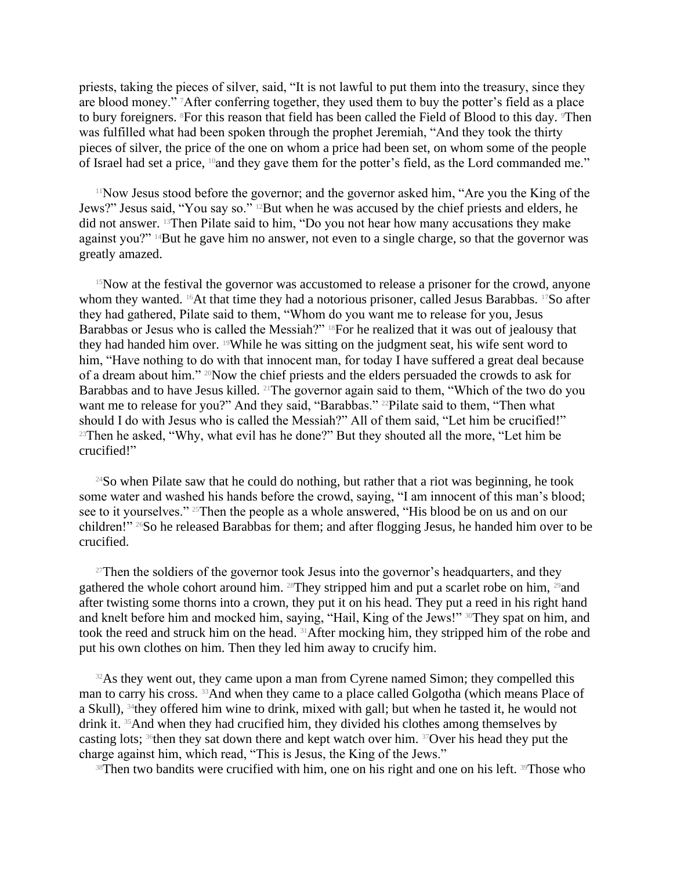priests, taking the pieces of silver, said, "It is not lawful to put them into the treasury, since they are blood money." 7After conferring together, they used them to buy the potter's field as a place to bury foreigners. <sup>8</sup>For this reason that field has been called the Field of Blood to this day. <sup>9</sup>Then was fulfilled what had been spoken through the prophet Jeremiah, "And they took the thirty pieces of silver, the price of the one on whom a price had been set, on whom some of the people of Israel had set a price, <sup>10</sup>and they gave them for the potter's field, as the Lord commanded me."

<sup>11</sup>Now Jesus stood before the governor; and the governor asked him, "Are you the King of the Jews?" Jesus said, "You say so." 12But when he was accused by the chief priests and elders, he did not answer. 13Then Pilate said to him, "Do you not hear how many accusations they make against you?" 14But he gave him no answer, not even to a single charge, so that the governor was greatly amazed.

 $15$ Now at the festival the governor was accustomed to release a prisoner for the crowd, anyone whom they wanted. <sup>16</sup>At that time they had a notorious prisoner, called Jesus Barabbas. <sup>17</sup>So after they had gathered, Pilate said to them, "Whom do you want me to release for you, Jesus Barabbas or Jesus who is called the Messiah?" <sup>18</sup>For he realized that it was out of jealousy that they had handed him over. 19While he was sitting on the judgment seat, his wife sent word to him, "Have nothing to do with that innocent man, for today I have suffered a great deal because of a dream about him." 20Now the chief priests and the elders persuaded the crowds to ask for Barabbas and to have Jesus killed. <sup>21</sup>The governor again said to them, "Which of the two do you want me to release for you?" And they said, "Barabbas." <sup>22</sup>Pilate said to them, "Then what should I do with Jesus who is called the Messiah?" All of them said, "Let him be crucified!" <sup>23</sup>Then he asked, "Why, what evil has he done?" But they shouted all the more, "Let him be crucified!"

<sup>24</sup>So when Pilate saw that he could do nothing, but rather that a riot was beginning, he took some water and washed his hands before the crowd, saying, "I am innocent of this man's blood; see to it yourselves." <sup>25</sup>Then the people as a whole answered, "His blood be on us and on our children!" 26So he released Barabbas for them; and after flogging Jesus, he handed him over to be crucified.

<sup>27</sup>Then the soldiers of the governor took Jesus into the governor's headquarters, and they gathered the whole cohort around him. <sup>28</sup>They stripped him and put a scarlet robe on him, <sup>29</sup>and after twisting some thorns into a crown, they put it on his head. They put a reed in his right hand and knelt before him and mocked him, saying, "Hail, King of the Jews!" <sup>30</sup>They spat on him, and took the reed and struck him on the head. 31After mocking him, they stripped him of the robe and put his own clothes on him. Then they led him away to crucify him.

<sup>32</sup>As they went out, they came upon a man from Cyrene named Simon; they compelled this man to carry his cross. 33And when they came to a place called Golgotha (which means Place of a Skull), <sup>34</sup>they offered him wine to drink, mixed with gall; but when he tasted it, he would not drink it. 35And when they had crucified him, they divided his clothes among themselves by casting lots; 36then they sat down there and kept watch over him. 37Over his head they put the charge against him, which read, "This is Jesus, the King of the Jews."

<sup>38</sup>Then two bandits were crucified with him, one on his right and one on his left. <sup>39</sup>Those who